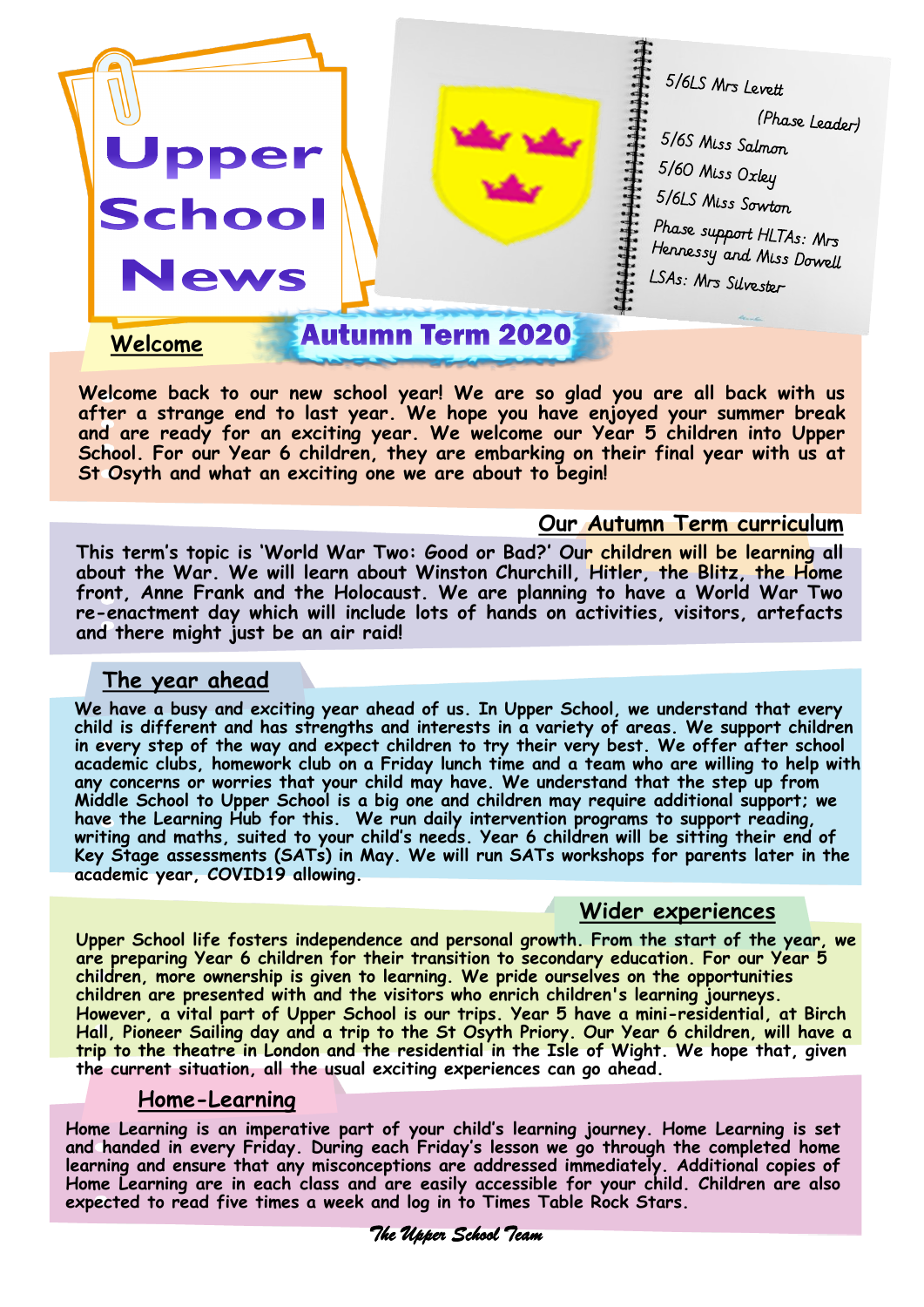

**Welcome back to our new school year! We are so glad you are all back with us after a strange end to last year. We hope you have enjoyed your summer break and are ready for an exciting year. We welcome our Year 5 children into Upper**  School. For our Year 6 children, they are embarking on their final year with us at **St Osyth and what an exciting one we are about to begin!** 

#### **Our Autumn Term curriculum**

**This term's topic is 'World War Two: Good or Bad?' Our children will be learning all about the War. We will learn about Winston Churchill, Hitler, the Blitz, the Home front, Anne Frank and the Holocaust. We are planning to have a World War Two re-enactment day which will include lots of hands on activities, visitors, artefacts and there might just be an air raid!**

#### **The year ahead**

**We have a busy and exciting year ahead of us. In Upper School, we understand that every child is different and has strengths and interests in a variety of areas. We support children in every step of the way and expect children to try their very best. We offer after school academic clubs, homework club on a Friday lunch time and a team who are willing to help with any concerns or worries that your child may have. We understand that the step up from Middle School to Upper School is a big one and children may require additional support; we have the Learning Hub for this. We run daily intervention programs to support reading, writing and maths, suited to your child's needs. Year 6 children will be sitting their end of Key Stage assessments (SATs) in May. We will run SATs workshops for parents later in the academic year, COVID19 allowing.**

### **Wider experiences**

**Upper School life fosters independence and personal growth. From the start of the year, we are preparing Year 6 children for their transition to secondary education. For our Year 5 children, more ownership is given to learning. We pride ourselves on the opportunities children are presented with and the visitors who enrich children's learning journeys. However, a vital part of Upper School is our trips. Year 5 have a mini-residential, at Birch Hall, Pioneer Sailing day and a trip to the St Osyth Priory. Our Year 6 children, will have a trip to the theatre in London and the residential in the Isle of Wight. We hope that, given the current situation, all the usual exciting experiences can go ahead.** 

#### **Home-Learning**

**Home Learning is an imperative part of your child's learning journey. Home Learning is set and handed in every Friday. During each Friday's lesson we go through the completed home learning and ensure that any misconceptions are addressed immediately. Additional copies of Home Learning are in each class and are easily accessible for your child. Children are also expected to read five times a week and log in to Times Table Rock Stars.** 

 *The Upper School Team*